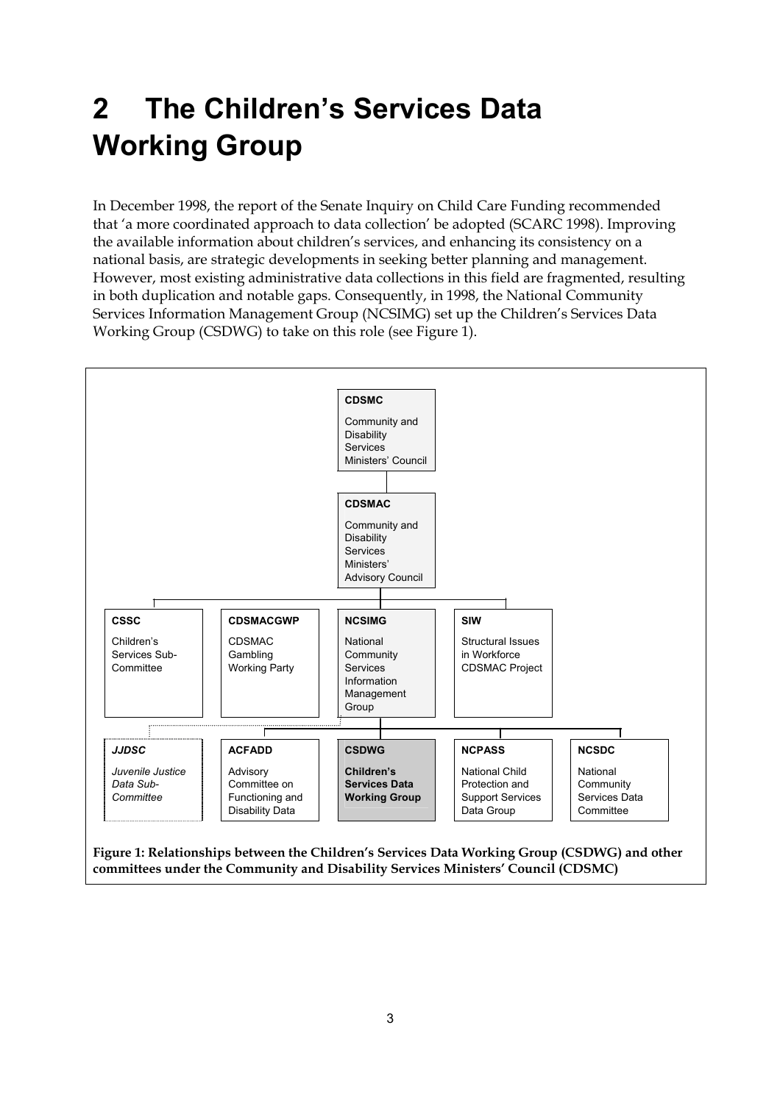## **2 The Children's Services Data Working Group**

In December 1998, the report of the Senate Inquiry on Child Care Funding recommended that 'a more coordinated approach to data collection' be adopted (SCARC 1998). Improving the available information about children's services, and enhancing its consistency on a national basis, are strategic developments in seeking better planning and management. However, most existing administrative data collections in this field are fragmented, resulting in both duplication and notable gaps. Consequently, in 1998, the National Community Services Information Management Group (NCSIMG) set up the Children's Services Data Working Group (CSDWG) to take on this role (see Figure 1).